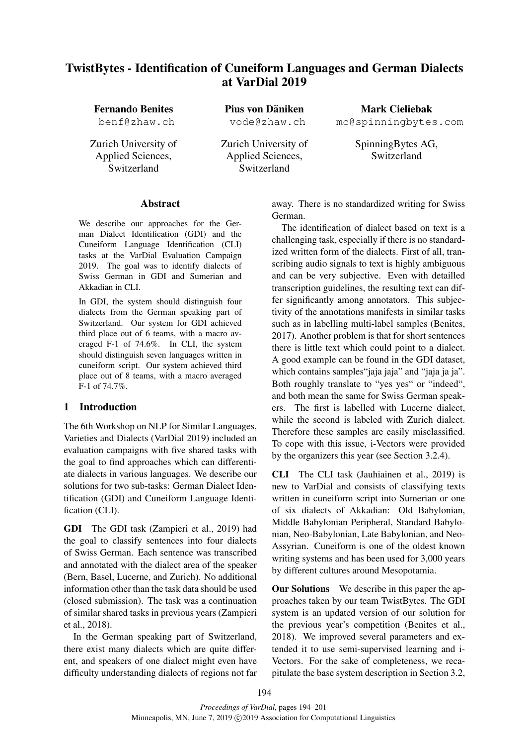# TwistBytes - Identification of Cuneiform Languages and German Dialects at VarDial 2019

Fernando Benites

benf@zhaw.ch

Zurich University of Applied Sciences, Switzerland

Pius von Däniken vode@zhaw.ch

Zurich University of Applied Sciences, Switzerland

Mark Cieliebak mc@spinningbytes.com

> SpinningBytes AG, Switzerland

# Abstract

We describe our approaches for the German Dialect Identification (GDI) and the Cuneiform Language Identification (CLI) tasks at the VarDial Evaluation Campaign 2019. The goal was to identify dialects of Swiss German in GDI and Sumerian and Akkadian in CLI.

In GDI, the system should distinguish four dialects from the German speaking part of Switzerland. Our system for GDI achieved third place out of 6 teams, with a macro averaged F-1 of 74.6%. In CLI, the system should distinguish seven languages written in cuneiform script. Our system achieved third place out of 8 teams, with a macro averaged F-1 of 74.7%.

# 1 Introduction

The 6th Workshop on NLP for Similar Languages, Varieties and Dialects (VarDial 2019) included an evaluation campaigns with five shared tasks with the goal to find approaches which can differentiate dialects in various languages. We describe our solutions for two sub-tasks: German Dialect Identification (GDI) and Cuneiform Language Identification (CLI).

GDI The GDI task (Zampieri et al., 2019) had the goal to classify sentences into four dialects of Swiss German. Each sentence was transcribed and annotated with the dialect area of the speaker (Bern, Basel, Lucerne, and Zurich). No additional information other than the task data should be used (closed submission). The task was a continuation of similar shared tasks in previous years (Zampieri et al., 2018).

In the German speaking part of Switzerland, there exist many dialects which are quite different, and speakers of one dialect might even have difficulty understanding dialects of regions not far away. There is no standardized writing for Swiss German.

The identification of dialect based on text is a challenging task, especially if there is no standardized written form of the dialects. First of all, transcribing audio signals to text is highly ambiguous and can be very subjective. Even with detailled transcription guidelines, the resulting text can differ significantly among annotators. This subjectivity of the annotations manifests in similar tasks such as in labelling multi-label samples (Benites, 2017). Another problem is that for short sentences there is little text which could point to a dialect. A good example can be found in the GDI dataset, which contains samples "jaja jaja" and "jaja ja ja". Both roughly translate to "yes yes" or "indeed", and both mean the same for Swiss German speakers. The first is labelled with Lucerne dialect, while the second is labeled with Zurich dialect. Therefore these samples are easily misclassified. To cope with this issue, i-Vectors were provided by the organizers this year (see Section 3.2.4).

CLI The CLI task (Jauhiainen et al., 2019) is new to VarDial and consists of classifying texts written in cuneiform script into Sumerian or one of six dialects of Akkadian: Old Babylonian, Middle Babylonian Peripheral, Standard Babylonian, Neo-Babylonian, Late Babylonian, and Neo-Assyrian. Cuneiform is one of the oldest known writing systems and has been used for 3,000 years by different cultures around Mesopotamia.

Our Solutions We describe in this paper the approaches taken by our team TwistBytes. The GDI system is an updated version of our solution for the previous year's competition (Benites et al., 2018). We improved several parameters and extended it to use semi-supervised learning and i-Vectors. For the sake of completeness, we recapitulate the base system description in Section 3.2,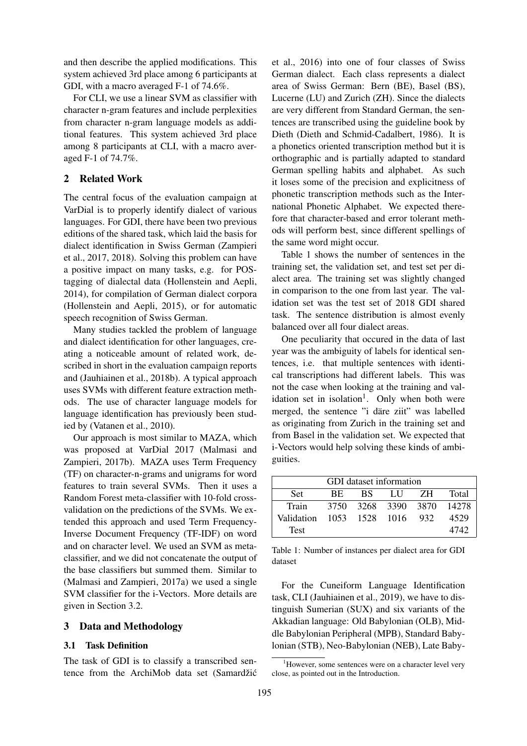and then describe the applied modifications. This system achieved 3rd place among 6 participants at GDI, with a macro averaged F-1 of 74.6%.

For CLI, we use a linear SVM as classifier with character n-gram features and include perplexities from character n-gram language models as additional features. This system achieved 3rd place among 8 participants at CLI, with a macro averaged F-1 of 74.7%.

# 2 Related Work

The central focus of the evaluation campaign at VarDial is to properly identify dialect of various languages. For GDI, there have been two previous editions of the shared task, which laid the basis for dialect identification in Swiss German (Zampieri et al., 2017, 2018). Solving this problem can have a positive impact on many tasks, e.g. for POStagging of dialectal data (Hollenstein and Aepli, 2014), for compilation of German dialect corpora (Hollenstein and Aepli, 2015), or for automatic speech recognition of Swiss German.

Many studies tackled the problem of language and dialect identification for other languages, creating a noticeable amount of related work, described in short in the evaluation campaign reports and (Jauhiainen et al., 2018b). A typical approach uses SVMs with different feature extraction methods. The use of character language models for language identification has previously been studied by (Vatanen et al., 2010).

Our approach is most similar to MAZA, which was proposed at VarDial 2017 (Malmasi and Zampieri, 2017b). MAZA uses Term Frequency (TF) on character-n-grams and unigrams for word features to train several SVMs. Then it uses a Random Forest meta-classifier with 10-fold crossvalidation on the predictions of the SVMs. We extended this approach and used Term Frequency-Inverse Document Frequency (TF-IDF) on word and on character level. We used an SVM as metaclassifier, and we did not concatenate the output of the base classifiers but summed them. Similar to (Malmasi and Zampieri, 2017a) we used a single SVM classifier for the i-Vectors. More details are given in Section 3.2.

#### 3 Data and Methodology

#### 3.1 Task Definition

The task of GDI is to classify a transcribed sentence from the ArchiMob data set (Samardžić et al., 2016) into one of four classes of Swiss German dialect. Each class represents a dialect area of Swiss German: Bern (BE), Basel (BS), Lucerne (LU) and Zurich (ZH). Since the dialects are very different from Standard German, the sentences are transcribed using the guideline book by Dieth (Dieth and Schmid-Cadalbert, 1986). It is a phonetics oriented transcription method but it is orthographic and is partially adapted to standard German spelling habits and alphabet. As such it loses some of the precision and explicitness of phonetic transcription methods such as the International Phonetic Alphabet. We expected therefore that character-based and error tolerant methods will perform best, since different spellings of the same word might occur.

Table 1 shows the number of sentences in the training set, the validation set, and test set per dialect area. The training set was slightly changed in comparison to the one from last year. The validation set was the test set of 2018 GDI shared task. The sentence distribution is almost evenly balanced over all four dialect areas.

One peculiarity that occured in the data of last year was the ambiguity of labels for identical sentences, i.e. that multiple sentences with identical transcriptions had different labels. This was not the case when looking at the training and validation set in isolation<sup>1</sup>. Only when both were merged, the sentence "i däre ziit" was labelled as originating from Zurich in the training set and from Basel in the validation set. We expected that i-Vectors would help solving these kinds of ambiguities.

| GDI dataset information       |                                           |  |                      |  |       |  |
|-------------------------------|-------------------------------------------|--|----------------------|--|-------|--|
| Set.                          | BS.<br>Total<br>- 7.H<br>- I I I -<br>BE. |  |                      |  |       |  |
| Train                         | 3750                                      |  | 3268 3390 3870 14278 |  |       |  |
| Validation 1053 1528 1016 932 |                                           |  |                      |  | 4529  |  |
| <b>Test</b>                   |                                           |  |                      |  | 4742. |  |

Table 1: Number of instances per dialect area for GDI dataset

For the Cuneiform Language Identification task, CLI (Jauhiainen et al., 2019), we have to distinguish Sumerian (SUX) and six variants of the Akkadian language: Old Babylonian (OLB), Middle Babylonian Peripheral (MPB), Standard Babylonian (STB), Neo-Babylonian (NEB), Late Baby-

<sup>&</sup>lt;sup>1</sup>However, some sentences were on a character level very close, as pointed out in the Introduction.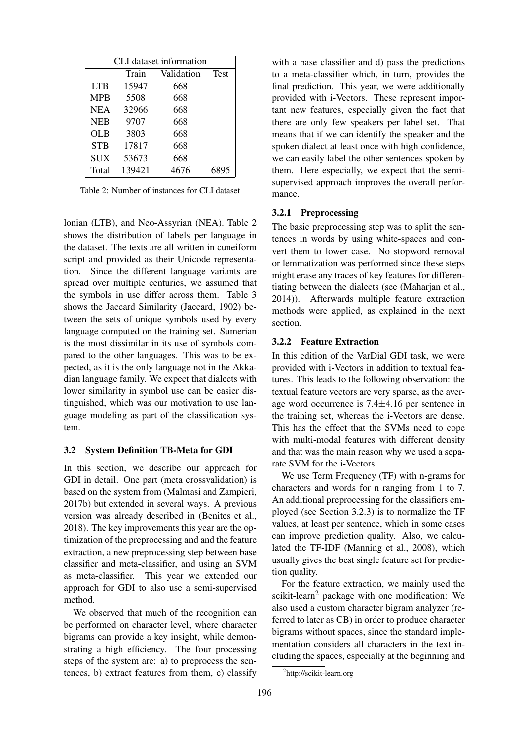| CLI dataset information |        |                 |      |
|-------------------------|--------|-----------------|------|
|                         | Train  | Validation Test |      |
| <b>LTB</b>              | 15947  | 668             |      |
| <b>MPB</b>              | 5508   | 668             |      |
| <b>NEA</b>              | 32966  | 668             |      |
| <b>NEB</b>              | 9707   | 668             |      |
| <b>OLB</b>              | 3803   | 668             |      |
| <b>STB</b>              | 17817  | 668             |      |
| <b>SUX</b>              | 53673  | 668             |      |
| Total                   | 139421 | 4676            | 6895 |

Table 2: Number of instances for CLI dataset

lonian (LTB), and Neo-Assyrian (NEA). Table 2 shows the distribution of labels per language in the dataset. The texts are all written in cuneiform script and provided as their Unicode representation. Since the different language variants are spread over multiple centuries, we assumed that the symbols in use differ across them. Table 3 shows the Jaccard Similarity (Jaccard, 1902) between the sets of unique symbols used by every language computed on the training set. Sumerian is the most dissimilar in its use of symbols compared to the other languages. This was to be expected, as it is the only language not in the Akkadian language family. We expect that dialects with lower similarity in symbol use can be easier distinguished, which was our motivation to use language modeling as part of the classification system.

#### 3.2 System Definition TB-Meta for GDI

In this section, we describe our approach for GDI in detail. One part (meta crossvalidation) is based on the system from (Malmasi and Zampieri, 2017b) but extended in several ways. A previous version was already described in (Benites et al., 2018). The key improvements this year are the optimization of the preprocessing and and the feature extraction, a new preprocessing step between base classifier and meta-classifier, and using an SVM as meta-classifier. This year we extended our approach for GDI to also use a semi-supervised method.

We observed that much of the recognition can be performed on character level, where character bigrams can provide a key insight, while demonstrating a high efficiency. The four processing steps of the system are: a) to preprocess the sentences, b) extract features from them, c) classify with a base classifier and d) pass the predictions to a meta-classifier which, in turn, provides the final prediction. This year, we were additionally provided with i-Vectors. These represent important new features, especially given the fact that there are only few speakers per label set. That means that if we can identify the speaker and the spoken dialect at least once with high confidence, we can easily label the other sentences spoken by them. Here especially, we expect that the semisupervised approach improves the overall performance.

#### 3.2.1 Preprocessing

The basic preprocessing step was to split the sentences in words by using white-spaces and convert them to lower case. No stopword removal or lemmatization was performed since these steps might erase any traces of key features for differentiating between the dialects (see (Maharjan et al., 2014)). Afterwards multiple feature extraction methods were applied, as explained in the next section.

### 3.2.2 Feature Extraction

In this edition of the VarDial GDI task, we were provided with i-Vectors in addition to textual features. This leads to the following observation: the textual feature vectors are very sparse, as the average word occurrence is 7.4±4.16 per sentence in the training set, whereas the i-Vectors are dense. This has the effect that the SVMs need to cope with multi-modal features with different density and that was the main reason why we used a separate SVM for the i-Vectors.

We use Term Frequency (TF) with n-grams for characters and words for n ranging from 1 to 7. An additional preprocessing for the classifiers employed (see Section 3.2.3) is to normalize the TF values, at least per sentence, which in some cases can improve prediction quality. Also, we calculated the TF-IDF (Manning et al., 2008), which usually gives the best single feature set for prediction quality.

For the feature extraction, we mainly used the scikit-learn<sup>2</sup> package with one modification: We also used a custom character bigram analyzer (referred to later as CB) in order to produce character bigrams without spaces, since the standard implementation considers all characters in the text including the spaces, especially at the beginning and

<sup>&</sup>lt;sup>2</sup>http://scikit-learn.org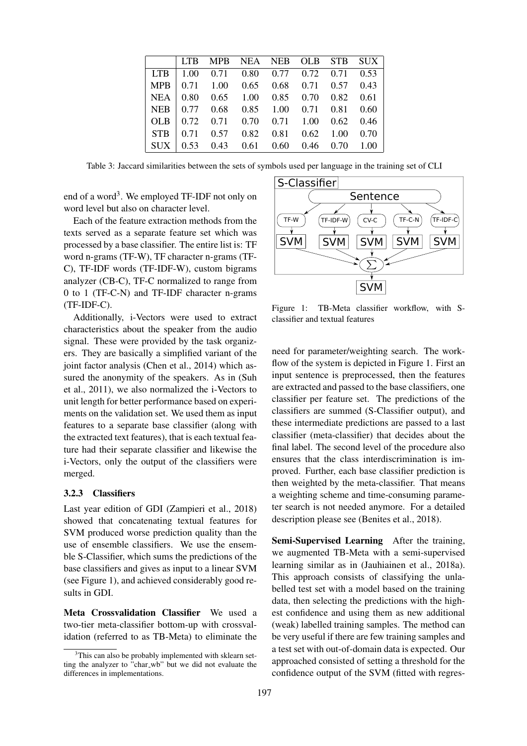|                                                        | LTB MPB NEA NEB OLB STB SUX |  |  |  |
|--------------------------------------------------------|-----------------------------|--|--|--|
| LTB   1.00 $0.71$ $0.80$ $0.77$ $0.72$ $0.71$ $0.53$   |                             |  |  |  |
| MPB   $0.71$ 1.00 $0.65$ 0.68 0.71 0.57 0.43           |                             |  |  |  |
| $NEA$ 0.80 0.65 1.00 0.85 0.70 0.82 0.61               |                             |  |  |  |
| $\vert$ NEB $\vert$ 0.77 0.68 0.85 1.00 0.71 0.81 0.60 |                             |  |  |  |
| $\vert$ OLB $\vert$ 0.72 0.71 0.70 0.71 1.00 0.62 0.46 |                             |  |  |  |
| $\vert$ STB $\vert$ 0.71 0.57 0.82 0.81 0.62 1.00 0.70 |                             |  |  |  |
| $\vert$ SUX $\vert$ 0.53 0.43 0.61 0.60 0.46 0.70 1.00 |                             |  |  |  |

Table 3: Jaccard similarities between the sets of symbols used per language in the training set of CLI

end of a word<sup>3</sup>. We employed TF-IDF not only on word level but also on character level.

Each of the feature extraction methods from the texts served as a separate feature set which was processed by a base classifier. The entire list is: TF word n-grams (TF-W), TF character n-grams (TF-C), TF-IDF words (TF-IDF-W), custom bigrams analyzer (CB-C), TF-C normalized to range from 0 to 1 (TF-C-N) and TF-IDF character n-grams (TF-IDF-C).

Additionally, i-Vectors were used to extract characteristics about the speaker from the audio signal. These were provided by the task organizers. They are basically a simplified variant of the joint factor analysis (Chen et al., 2014) which assured the anonymity of the speakers. As in (Suh et al., 2011), we also normalized the i-Vectors to unit length for better performance based on experiments on the validation set. We used them as input features to a separate base classifier (along with the extracted text features), that is each textual feature had their separate classifier and likewise the i-Vectors, only the output of the classifiers were merged.

#### 3.2.3 Classifiers

Last year edition of GDI (Zampieri et al., 2018) showed that concatenating textual features for SVM produced worse prediction quality than the use of ensemble classifiers. We use the ensemble S-Classifier, which sums the predictions of the base classifiers and gives as input to a linear SVM (see Figure 1), and achieved considerably good results in GDI.

Meta Crossvalidation Classifier We used a two-tier meta-classifier bottom-up with crossvalidation (referred to as TB-Meta) to eliminate the



Figure 1: TB-Meta classifier workflow, with Sclassifier and textual features

need for parameter/weighting search. The workflow of the system is depicted in Figure 1. First an input sentence is preprocessed, then the features are extracted and passed to the base classifiers, one classifier per feature set. The predictions of the classifiers are summed (S-Classifier output), and these intermediate predictions are passed to a last classifier (meta-classifier) that decides about the final label. The second level of the procedure also ensures that the class interdiscrimination is improved. Further, each base classifier prediction is then weighted by the meta-classifier. That means a weighting scheme and time-consuming parameter search is not needed anymore. For a detailed description please see (Benites et al., 2018).

Semi-Supervised Learning After the training, we augmented TB-Meta with a semi-supervised learning similar as in (Jauhiainen et al., 2018a). This approach consists of classifying the unlabelled test set with a model based on the training data, then selecting the predictions with the highest confidence and using them as new additional (weak) labelled training samples. The method can be very useful if there are few training samples and a test set with out-of-domain data is expected. Our approached consisted of setting a threshold for the confidence output of the SVM (fitted with regres-

<sup>&</sup>lt;sup>3</sup>This can also be probably implemented with sklearn setting the analyzer to "char wb" but we did not evaluate the differences in implementations.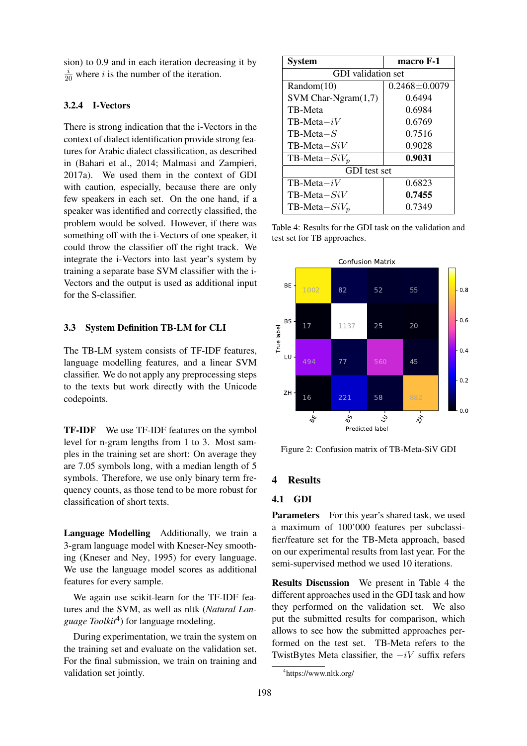sion) to 0.9 and in each iteration decreasing it by  $\frac{i}{20}$  where *i* is the number of the iteration.

#### 3.2.4 I-Vectors

There is strong indication that the i-Vectors in the context of dialect identification provide strong features for Arabic dialect classification, as described in (Bahari et al., 2014; Malmasi and Zampieri, 2017a). We used them in the context of GDI with caution, especially, because there are only few speakers in each set. On the one hand, if a speaker was identified and correctly classified, the problem would be solved. However, if there was something off with the i-Vectors of one speaker, it could throw the classifier off the right track. We integrate the i-Vectors into last year's system by training a separate base SVM classifier with the i-Vectors and the output is used as additional input for the S-classifier.

#### 3.3 System Definition TB-LM for CLI

The TB-LM system consists of TF-IDF features, language modelling features, and a linear SVM classifier. We do not apply any preprocessing steps to the texts but work directly with the Unicode codepoints.

TF-IDF We use TF-IDF features on the symbol level for n-gram lengths from 1 to 3. Most samples in the training set are short: On average they are 7.05 symbols long, with a median length of 5 symbols. Therefore, we use only binary term frequency counts, as those tend to be more robust for classification of short texts.

Language Modelling Additionally, we train a 3-gram language model with Kneser-Ney smoothing (Kneser and Ney, 1995) for every language. We use the language model scores as additional features for every sample.

We again use scikit-learn for the TF-IDF features and the SVM, as well as nltk (*Natural Language Toolkit*<sup>4</sup> ) for language modeling.

During experimentation, we train the system on the training set and evaluate on the validation set. For the final submission, we train on training and validation set jointly.

| <b>System</b>             | macro F-1           |  |  |  |
|---------------------------|---------------------|--|--|--|
| <b>GDI</b> validation set |                     |  |  |  |
| Random(10)                | $0.2468 \pm 0.0079$ |  |  |  |
| SVM Char-Ngram(1,7)       | 0.6494              |  |  |  |
| TB-Meta                   | 0.6984              |  |  |  |
| $TR-Meta-iV$              | 0.6769              |  |  |  |
| $TR-Meta-S$               | 0.7516              |  |  |  |
| $TB-Meta-SiV$             | 0.9028              |  |  |  |
| TB-Meta $-SiV_n$          | 0.9031              |  |  |  |
| <b>GDI</b> test set       |                     |  |  |  |
| $TB-Meta-iV$              | 0.6823              |  |  |  |
| TB-Meta $-SiV$            | 0.7455              |  |  |  |
| TB-Meta $-SiV_p$          | 0.7349              |  |  |  |

Table 4: Results for the GDI task on the validation and test set for TB approaches.



Figure 2: Confusion matrix of TB-Meta-SiV GDI

# 4 Results

### 4.1 GDI

Parameters For this year's shared task, we used a maximum of 100'000 features per subclassifier/feature set for the TB-Meta approach, based on our experimental results from last year. For the semi-supervised method we used 10 iterations.

Results Discussion We present in Table 4 the different approaches used in the GDI task and how they performed on the validation set. We also put the submitted results for comparison, which allows to see how the submitted approaches performed on the test set. TB-Meta refers to the TwistBytes Meta classifier, the  $-iV$  suffix refers

<sup>4</sup> https://www.nltk.org/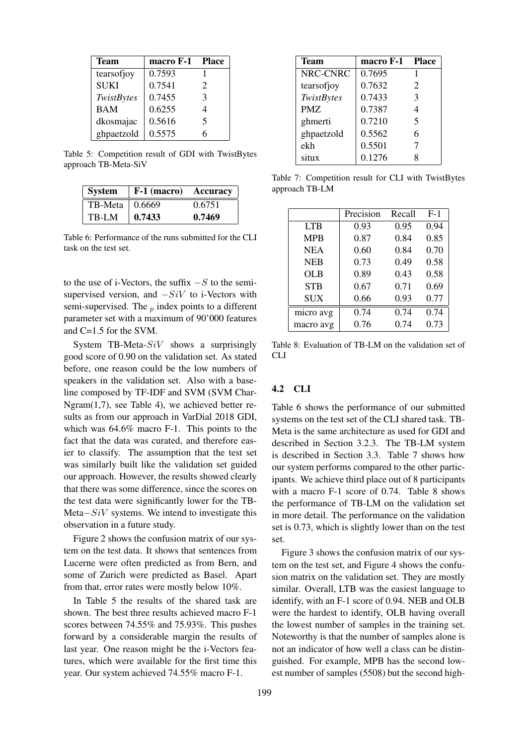| Team        | macro F-1 | <b>Place</b>                |
|-------------|-----------|-----------------------------|
| tearsofjoy  | 0.7593    |                             |
| <b>SUKI</b> | 0.7541    | $\mathcal{D}_{\mathcal{L}}$ |
| TwistBytes  | 0.7455    | $\mathcal{F}$               |
| <b>BAM</b>  | 0.6255    | 4                           |
| dkosmajac   | 0.5616    | 5                           |
| ghpaetzold  | 0.5575    | 6                           |

Table 5: Competition result of GDI with TwistBytes approach TB-Meta-SiV

| System                 | <b>F-1 (macro)</b> Accuracy |        |
|------------------------|-----------------------------|--------|
| TB-Meta $\vert$ 0.6669 |                             | 0.6751 |
| TB-LM                  | 0.7433                      | 0.7469 |

Table 6: Performance of the runs submitted for the CLI task on the test set.

to the use of i-Vectors, the suffix  $-S$  to the semisupervised version, and  $-SiV$  to i-Vectors with semi-supervised. The  $_p$  index points to a different parameter set with a maximum of 90'000 features and C=1.5 for the SVM.

System TB-Meta- $SiV$  shows a surprisingly good score of 0.90 on the validation set. As stated before, one reason could be the low numbers of speakers in the validation set. Also with a baseline composed by TF-IDF and SVM (SVM Char-Ngram(1,7), see Table 4), we achieved better results as from our approach in VarDial 2018 GDI, which was 64.6% macro F-1. This points to the fact that the data was curated, and therefore easier to classify. The assumption that the test set was similarly built like the validation set guided our approach. However, the results showed clearly that there was some difference, since the scores on the test data were significantly lower for the TB-Meta−SiV systems. We intend to investigate this observation in a future study.

Figure 2 shows the confusion matrix of our system on the test data. It shows that sentences from Lucerne were often predicted as from Bern, and some of Zurich were predicted as Basel. Apart from that, error rates were mostly below 10%.

In Table 5 the results of the shared task are shown. The best three results achieved macro F-1 scores between 74.55% and 75.93%. This pushes forward by a considerable margin the results of last year. One reason might be the i-Vectors features, which were available for the first time this year. Our system achieved 74.55% macro F-1.

| <b>Team</b>       | macro F-1 | <b>Place</b>  |
|-------------------|-----------|---------------|
| NRC-CNRC          | 0.7695    |               |
| tearsofjoy        | 0.7632    | 2             |
| <b>TwistBytes</b> | 0.7433    | $\mathcal{F}$ |
| <b>PMZ</b>        | 0.7387    | 4             |
| ghmerti           | 0.7210    | 5             |
| ghpaetzold        | 0.5562    | 6             |
| ekh               | 0.5501    | 7             |
| situx             | 0.1276    |               |

Table 7: Competition result for CLI with TwistBytes approach TB-LM

|            | Precision | Recall | $F-1$ |
|------------|-----------|--------|-------|
| <b>LTB</b> | 0.93      | 0.95   | 0.94  |
| <b>MPB</b> | 0.87      | 0.84   | 0.85  |
| <b>NEA</b> | 0.60      | 0.84   | 0.70  |
| <b>NEB</b> | 0.73      | 0.49   | 0.58  |
| OLB        | 0.89      | 0.43   | 0.58  |
| <b>STB</b> | 0.67      | 0.71   | 0.69  |
| <b>SUX</b> | 0.66      | 0.93   | 0.77  |
| micro avg  | 0.74      | 0.74   | 0.74  |
| macro avg  | 0.76      | 0.74   | 0.73  |

Table 8: Evaluation of TB-LM on the validation set of CLI

# 4.2 CLI

Table 6 shows the performance of our submitted systems on the test set of the CLI shared task. TB-Meta is the same architecture as used for GDI and described in Section 3.2.3. The TB-LM system is described in Section 3.3. Table 7 shows how our system performs compared to the other participants. We achieve third place out of 8 participants with a macro F-1 score of 0.74. Table 8 shows the performance of TB-LM on the validation set in more detail. The performance on the validation set is 0.73, which is slightly lower than on the test set.

Figure 3 shows the confusion matrix of our system on the test set, and Figure 4 shows the confusion matrix on the validation set. They are mostly similar. Overall, LTB was the easiest language to identify, with an F-1 score of 0.94. NEB and OLB were the hardest to identify, OLB having overall the lowest number of samples in the training set. Noteworthy is that the number of samples alone is not an indicator of how well a class can be distinguished. For example, MPB has the second lowest number of samples (5508) but the second high-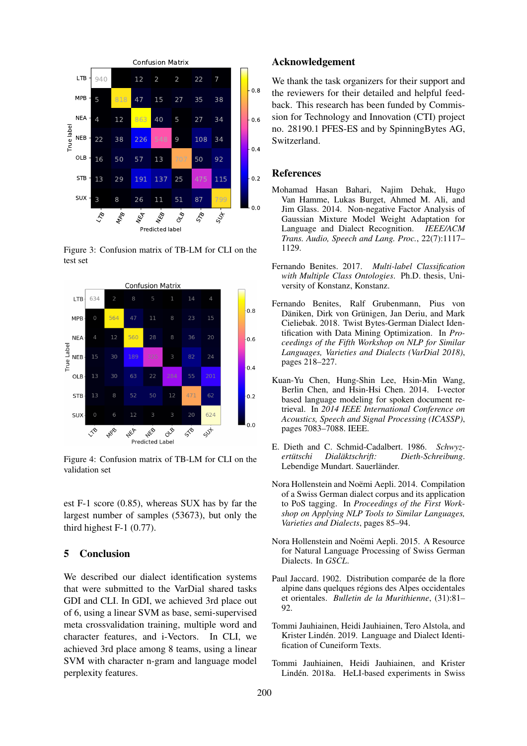

Figure 3: Confusion matrix of TB-LM for CLI on the test set



Figure 4: Confusion matrix of TB-LM for CLI on the validation set

est F-1 score (0.85), whereas SUX has by far the largest number of samples (53673), but only the third highest F-1 (0.77).

#### 5 Conclusion

We described our dialect identification systems that were submitted to the VarDial shared tasks GDI and CLI. In GDI, we achieved 3rd place out of 6, using a linear SVM as base, semi-supervised meta crossvalidation training, multiple word and character features, and i-Vectors. In CLI, we achieved 3rd place among 8 teams, using a linear SVM with character n-gram and language model perplexity features.

#### Acknowledgement

We thank the task organizers for their support and the reviewers for their detailed and helpful feedback. This research has been funded by Commission for Technology and Innovation (CTI) project no. 28190.1 PFES-ES and by SpinningBytes AG, Switzerland.

### References

- Mohamad Hasan Bahari, Najim Dehak, Hugo Van Hamme, Lukas Burget, Ahmed M. Ali, and Jim Glass. 2014. Non-negative Factor Analysis of Gaussian Mixture Model Weight Adaptation for Language and Dialect Recognition. *IEEE/ACM Trans. Audio, Speech and Lang. Proc.*, 22(7):1117– 1129.
- Fernando Benites. 2017. *Multi-label Classification with Multiple Class Ontologies*. Ph.D. thesis, University of Konstanz, Konstanz.
- Fernando Benites, Ralf Grubenmann, Pius von Däniken, Dirk von Grünigen, Jan Deriu, and Mark Cieliebak. 2018. Twist Bytes-German Dialect Identification with Data Mining Optimization. In *Proceedings of the Fifth Workshop on NLP for Similar Languages, Varieties and Dialects (VarDial 2018)*, pages 218–227.
- Kuan-Yu Chen, Hung-Shin Lee, Hsin-Min Wang, Berlin Chen, and Hsin-Hsi Chen. 2014. I-vector based language modeling for spoken document retrieval. In *2014 IEEE International Conference on Acoustics, Speech and Signal Processing (ICASSP)*, pages 7083–7088. IEEE.
- E. Dieth and C. Schmid-Cadalbert. 1986. *Schwyzertütschi Dialäktschrift: Dieth-Schreibung.* Lebendige Mundart. Sauerländer.
- Nora Hollenstein and Noëmi Aepli. 2014. Compilation of a Swiss German dialect corpus and its application to PoS tagging. In *Proceedings of the First Workshop on Applying NLP Tools to Similar Languages, Varieties and Dialects*, pages 85–94.
- Nora Hollenstein and Noëmi Aepli. 2015. A Resource for Natural Language Processing of Swiss German Dialects. In *GSCL*.
- Paul Jaccard. 1902. Distribution comparée de la flore alpine dans quelques regions des Alpes occidentales ´ et orientales. *Bulletin de la Murithienne*, (31):81–  $92.$
- Tommi Jauhiainen, Heidi Jauhiainen, Tero Alstola, and Krister Lindén. 2019. Language and Dialect Identification of Cuneiform Texts.
- Tommi Jauhiainen, Heidi Jauhiainen, and Krister Linden. 2018a. HeLI-based experiments in Swiss ´